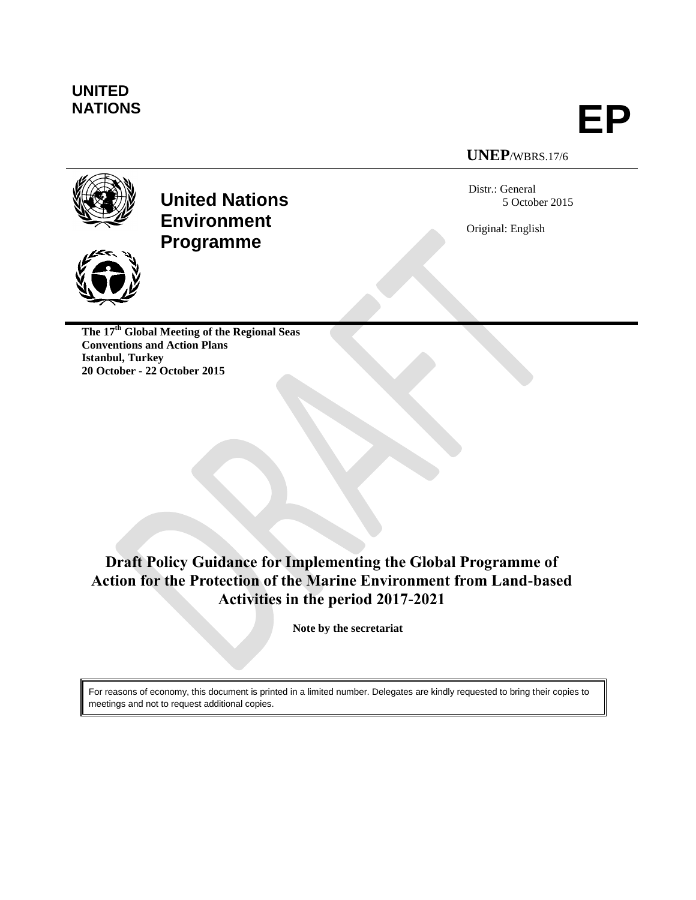# **UNITED**

**NATIONS EP**

# **UNEP**/WBRS.17/6

Distr.: General 5 October 2015

Original: English





**The 17th Global Meeting of the Regional Seas Conventions and Action Plans Istanbul, Turkey 20 October - 22 October 2015**

# **Draft Policy Guidance for Implementing the Global Programme of Action for the Protection of the Marine Environment from Land-based Activities in the period 2017-2021**

**Note by the secretariat**

For reasons of economy, this document is printed in a limited number. Delegates are kindly requested to bring their copies to meetings and not to request additional copies.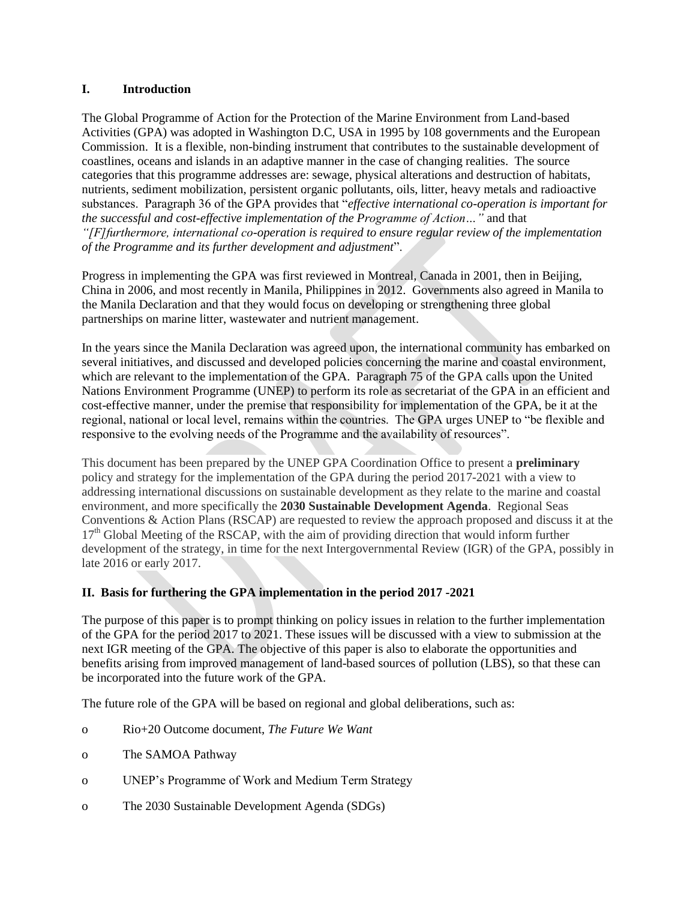#### **I. Introduction**

The Global Programme of Action for the Protection of the Marine Environment from Land-based Activities (GPA) was adopted in Washington D.C, USA in 1995 by 108 governments and the European Commission. It is a flexible, non-binding instrument that contributes to the sustainable development of coastlines, oceans and islands in an adaptive manner in the case of changing realities. The source categories that this programme addresses are: sewage, physical alterations and destruction of habitats, nutrients, sediment mobilization, persistent organic pollutants, oils, litter, heavy metals and radioactive substances. Paragraph 36 of the GPA provides that "*effective international co-operation is important for the successful and cost-effective implementation of the Programme of Action…"* and that *"[F]furthermore, international co-operation is required to ensure regular review of the implementation of the Programme and its further development and adjustment*".

Progress in implementing the GPA was first reviewed in Montreal, Canada in 2001, then in Beijing, China in 2006, and most recently in Manila, Philippines in 2012. Governments also agreed in Manila to the Manila Declaration and that they would focus on developing or strengthening three global partnerships on marine litter, wastewater and nutrient management.

In the years since the Manila Declaration was agreed upon, the international community has embarked on several initiatives, and discussed and developed policies concerning the marine and coastal environment, which are relevant to the implementation of the GPA. Paragraph 75 of the GPA calls upon the United Nations Environment Programme (UNEP) to perform its role as secretariat of the GPA in an efficient and cost-effective manner, under the premise that responsibility for implementation of the GPA, be it at the regional, national or local level, remains within the countries. The GPA urges UNEP to "be flexible and responsive to the evolving needs of the Programme and the availability of resources".

This document has been prepared by the UNEP GPA Coordination Office to present a **preliminary** policy and strategy for the implementation of the GPA during the period 2017-2021 with a view to addressing international discussions on sustainable development as they relate to the marine and coastal environment, and more specifically the **2030 Sustainable Development Agenda**. Regional Seas Conventions & Action Plans (RSCAP) are requested to review the approach proposed and discuss it at the 17<sup>th</sup> Global Meeting of the RSCAP, with the aim of providing direction that would inform further development of the strategy, in time for the next Intergovernmental Review (IGR) of the GPA, possibly in late 2016 or early 2017.

#### **II. Basis for furthering the GPA implementation in the period 2017 -2021**

The purpose of this paper is to prompt thinking on policy issues in relation to the further implementation of the GPA for the period 2017 to 2021. These issues will be discussed with a view to submission at the next IGR meeting of the GPA. The objective of this paper is also to elaborate the opportunities and benefits arising from improved management of land-based sources of pollution (LBS), so that these can be incorporated into the future work of the GPA.

The future role of the GPA will be based on regional and global deliberations, such as:

- o Rio+20 Outcome document, *The Future We Want*
- o The SAMOA Pathway
- o UNEP's Programme of Work and Medium Term Strategy
- o The 2030 Sustainable Development Agenda (SDGs)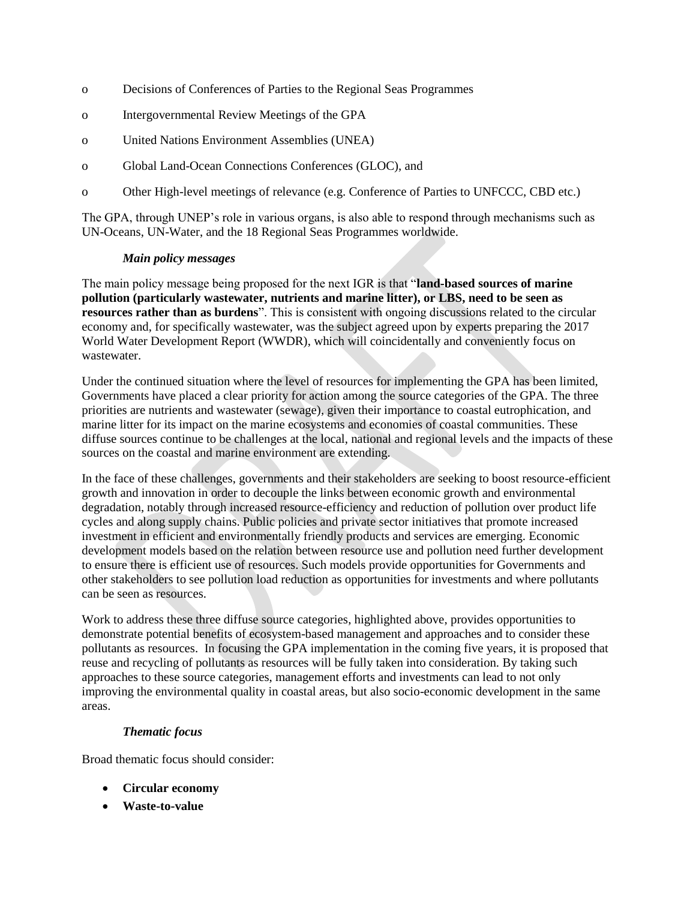- o Decisions of Conferences of Parties to the Regional Seas Programmes
- o Intergovernmental Review Meetings of the GPA
- o United Nations Environment Assemblies (UNEA)
- o Global Land-Ocean Connections Conferences (GLOC), and
- o Other High-level meetings of relevance (e.g. Conference of Parties to UNFCCC, CBD etc.)

The GPA, through UNEP's role in various organs, is also able to respond through mechanisms such as UN-Oceans, UN-Water, and the 18 Regional Seas Programmes worldwide.

#### *Main policy messages*

The main policy message being proposed for the next IGR is that "**land-based sources of marine pollution (particularly wastewater, nutrients and marine litter), or LBS, need to be seen as resources rather than as burdens**". This is consistent with ongoing discussions related to the circular economy and, for specifically wastewater, was the subject agreed upon by experts preparing the 2017 World Water Development Report (WWDR), which will coincidentally and conveniently focus on wastewater.

Under the continued situation where the level of resources for implementing the GPA has been limited, Governments have placed a clear priority for action among the source categories of the GPA. The three priorities are nutrients and wastewater (sewage), given their importance to coastal eutrophication, and marine litter for its impact on the marine ecosystems and economies of coastal communities. These diffuse sources continue to be challenges at the local, national and regional levels and the impacts of these sources on the coastal and marine environment are extending.

In the face of these challenges, governments and their stakeholders are seeking to boost resource-efficient growth and innovation in order to decouple the links between economic growth and environmental degradation, notably through increased resource-efficiency and reduction of pollution over product life cycles and along supply chains. Public policies and private sector initiatives that promote increased investment in efficient and environmentally friendly products and services are emerging. Economic development models based on the relation between resource use and pollution need further development to ensure there is efficient use of resources. Such models provide opportunities for Governments and other stakeholders to see pollution load reduction as opportunities for investments and where pollutants can be seen as resources.

Work to address these three diffuse source categories, highlighted above, provides opportunities to demonstrate potential benefits of ecosystem-based management and approaches and to consider these pollutants as resources. In focusing the GPA implementation in the coming five years, it is proposed that reuse and recycling of pollutants as resources will be fully taken into consideration. By taking such approaches to these source categories, management efforts and investments can lead to not only improving the environmental quality in coastal areas, but also socio-economic development in the same areas.

# *Thematic focus*

Broad thematic focus should consider:

- **Circular economy**
- **Waste-to-value**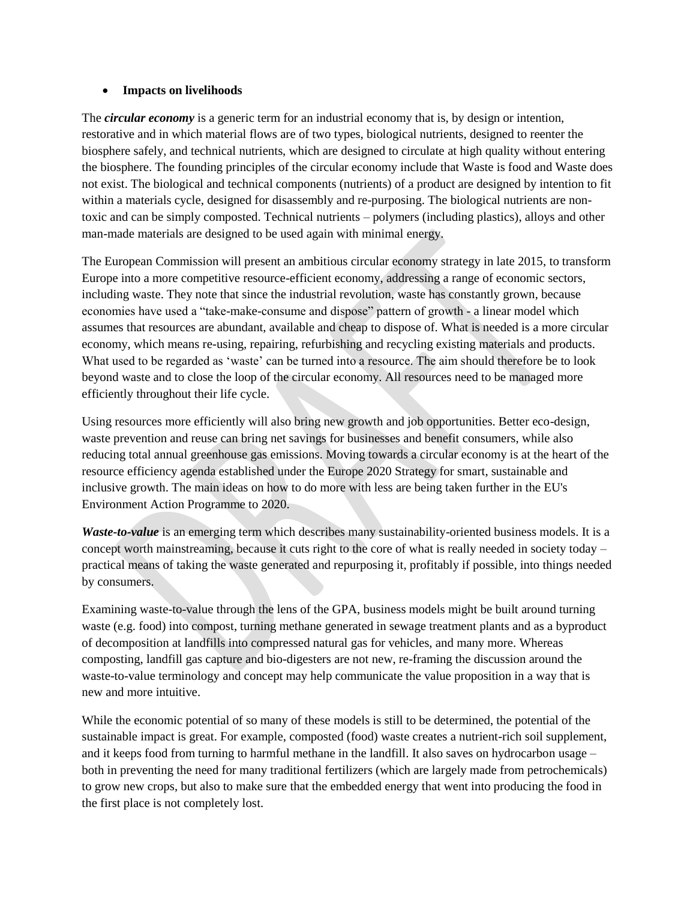#### **Impacts on livelihoods**

The *circular economy* is a generic term for an industrial economy that is, by design or intention, restorative and in which material flows are of two types, biological nutrients, designed to reenter the biosphere safely, and technical nutrients, which are designed to circulate at high quality without entering the biosphere. The founding principles of the circular economy include that Waste is food and Waste does not exist. The biological and technical components (nutrients) of a product are designed by intention to fit within a materials cycle, designed for disassembly and re-purposing. The biological nutrients are nontoxic and can be simply composted. Technical nutrients – polymers (including plastics), alloys and other man-made materials are designed to be used again with minimal energy.

The European Commission will present an ambitious circular economy strategy in late 2015, to transform Europe into a more competitive resource-efficient economy, addressing a range of economic sectors, including waste. They note that since the industrial revolution, waste has constantly grown, because economies have used a "take-make-consume and dispose" pattern of growth - a linear model which assumes that resources are abundant, available and cheap to dispose of. What is needed is a more circular economy, which means re-using, repairing, refurbishing and recycling existing materials and products. What used to be regarded as 'waste' can be turned into a resource. The aim should therefore be to look beyond waste and to close the loop of the circular economy. All resources need to be managed more efficiently throughout their life cycle.

Using resources more efficiently will also bring new growth and job opportunities. Better eco-design, waste prevention and reuse can bring net savings for businesses and benefit consumers, while also reducing total annual greenhouse gas emissions. Moving towards a circular economy is at the heart of the resource efficiency agenda established under the Europe 2020 Strategy for smart, sustainable and inclusive growth. The main ideas on how to do more with less are being taken further in the EU's Environment Action Programme to 2020.

*Waste-to-value* is an emerging term which describes many sustainability-oriented business models. It is a concept worth mainstreaming, because it cuts right to the core of what is really needed in society today – practical means of taking the waste generated and repurposing it, profitably if possible, into things needed by consumers.

Examining waste-to-value through the lens of the GPA, business models might be built around turning waste (e.g. food) into compost, turning methane generated in sewage treatment plants and as a byproduct of decomposition at landfills into compressed natural gas for vehicles, and many more. Whereas composting, landfill gas capture and bio-digesters are not new, re-framing the discussion around the waste-to-value terminology and concept may help communicate the value proposition in a way that is new and more intuitive.

While the economic potential of so many of these models is still to be determined, the potential of the sustainable impact is great. For example, composted (food) waste creates a nutrient-rich soil supplement, and it keeps food from turning to harmful methane in the landfill. It also saves on hydrocarbon usage – both in preventing the need for many traditional fertilizers (which are largely made from petrochemicals) to grow new crops, but also to make sure that the embedded energy that went into producing the food in the first place is not completely lost.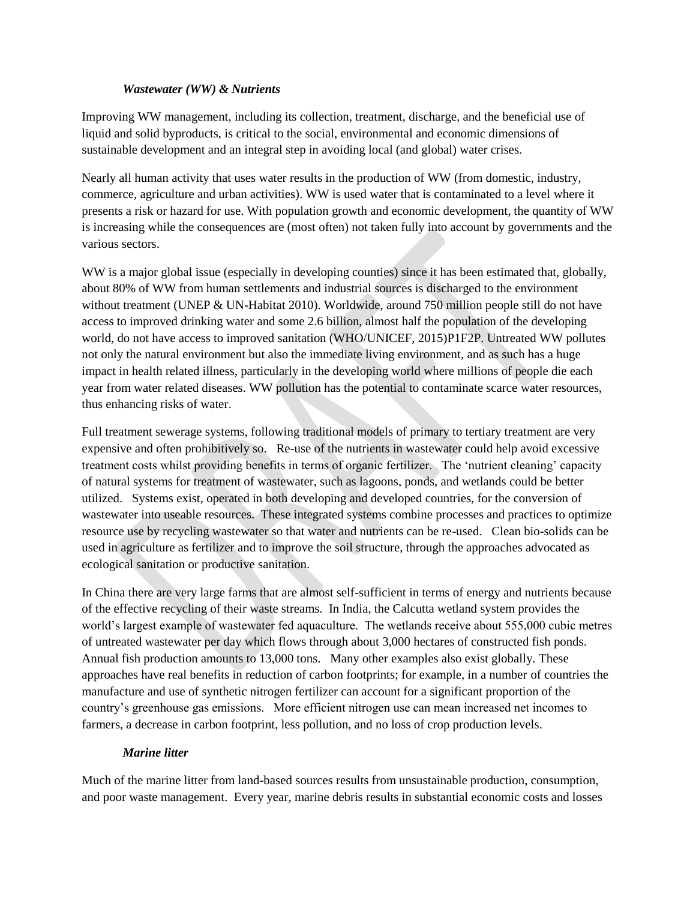#### *Wastewater (WW) & Nutrients*

Improving WW management, including its collection, treatment, discharge, and the beneficial use of liquid and solid byproducts, is critical to the social, environmental and economic dimensions of sustainable development and an integral step in avoiding local (and global) water crises.

Nearly all human activity that uses water results in the production of WW (from domestic, industry, commerce, agriculture and urban activities). WW is used water that is contaminated to a level where it presents a risk or hazard for use. With population growth and economic development, the quantity of WW is increasing while the consequences are (most often) not taken fully into account by governments and the various sectors.

WW is a major global issue (especially in developing counties) since it has been estimated that, globally, about 80% of WW from human settlements and industrial sources is discharged to the environment without treatment (UNEP & UN-Habitat 2010). Worldwide, around 750 million people still do not have access to improved drinking water and some 2.6 billion, almost half the population of the developing world, do not have access to improved sanitation (WHO/UNICEF, 2015)P1F2P. Untreated WW pollutes not only the natural environment but also the immediate living environment, and as such has a huge impact in health related illness, particularly in the developing world where millions of people die each year from water related diseases. WW pollution has the potential to contaminate scarce water resources, thus enhancing risks of water.

Full treatment sewerage systems, following traditional models of primary to tertiary treatment are very expensive and often prohibitively so. Re-use of the nutrients in wastewater could help avoid excessive treatment costs whilst providing benefits in terms of organic fertilizer. The 'nutrient cleaning' capacity of natural systems for treatment of wastewater, such as lagoons, ponds, and wetlands could be better utilized. Systems exist, operated in both developing and developed countries, for the conversion of wastewater into useable resources. These integrated systems combine processes and practices to optimize resource use by recycling wastewater so that water and nutrients can be re-used. Clean bio-solids can be used in agriculture as fertilizer and to improve the soil structure, through the approaches advocated as ecological sanitation or productive sanitation.

In China there are very large farms that are almost self-sufficient in terms of energy and nutrients because of the effective recycling of their waste streams. In India, the Calcutta wetland system provides the world's largest example of wastewater fed aquaculture. The wetlands receive about 555,000 cubic metres of untreated wastewater per day which flows through about 3,000 hectares of constructed fish ponds. Annual fish production amounts to 13,000 tons. Many other examples also exist globally. These approaches have real benefits in reduction of carbon footprints; for example, in a number of countries the manufacture and use of synthetic nitrogen fertilizer can account for a significant proportion of the country's greenhouse gas emissions. More efficient nitrogen use can mean increased net incomes to farmers, a decrease in carbon footprint, less pollution, and no loss of crop production levels.

#### *Marine litter*

Much of the marine litter from land-based sources results from unsustainable production, consumption, and poor waste management. Every year, marine debris results in substantial economic costs and losses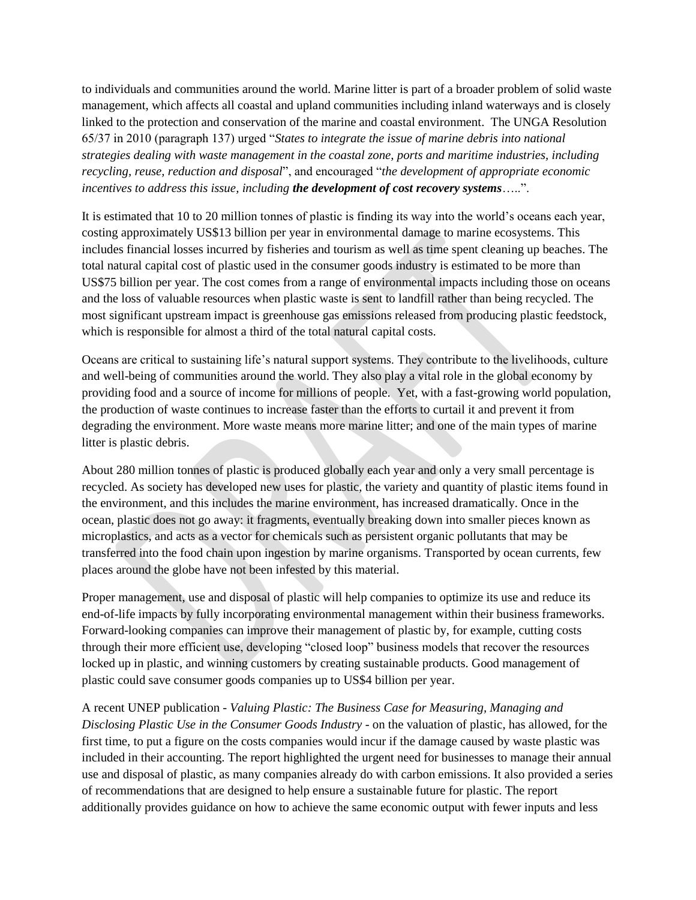to individuals and communities around the world. Marine litter is part of a broader problem of solid waste management, which affects all coastal and upland communities including inland waterways and is closely linked to the protection and conservation of the marine and coastal environment. The UNGA Resolution 65/37 in 2010 (paragraph 137) urged "*States to integrate the issue of marine debris into national strategies dealing with waste management in the coastal zone, ports and maritime industries, including recycling, reuse, reduction and disposal*", and encouraged "*the development of appropriate economic incentives to address this issue, including the development of cost recovery systems*…..".

It is estimated that 10 to 20 million tonnes of plastic is finding its way into the world's oceans each year, costing approximately US\$13 billion per year in environmental damage to marine ecosystems. This includes financial losses incurred by fisheries and tourism as well as time spent cleaning up beaches. The total natural capital cost of plastic used in the consumer goods industry is estimated to be more than US\$75 billion per year. The cost comes from a range of environmental impacts including those on oceans and the loss of valuable resources when plastic waste is sent to landfill rather than being recycled. The most significant upstream impact is greenhouse gas emissions released from producing plastic feedstock, which is responsible for almost a third of the total natural capital costs.

Oceans are critical to sustaining life's natural support systems. They contribute to the livelihoods, culture and well-being of communities around the world. They also play a vital role in the global economy by providing food and a source of income for millions of people. Yet, with a fast-growing world population, the production of waste continues to increase faster than the efforts to curtail it and prevent it from degrading the environment. More waste means more marine litter; and one of the main types of marine litter is plastic debris.

About 280 million tonnes of plastic is produced globally each year and only a very small percentage is recycled. As society has developed new uses for plastic, the variety and quantity of plastic items found in the environment, and this includes the marine environment, has increased dramatically. Once in the ocean, plastic does not go away: it fragments, eventually breaking down into smaller pieces known as microplastics, and acts as a vector for chemicals such as persistent organic pollutants that may be transferred into the food chain upon ingestion by marine organisms. Transported by ocean currents, few places around the globe have not been infested by this material.

Proper management, use and disposal of plastic will help companies to optimize its use and reduce its end-of-life impacts by fully incorporating environmental management within their business frameworks. Forward-looking companies can improve their management of plastic by, for example, cutting costs through their more efficient use, developing "closed loop" business models that recover the resources locked up in plastic, and winning customers by creating sustainable products. Good management of plastic could save consumer goods companies up to US\$4 billion per year.

A recent UNEP publication - *Valuing Plastic: The Business Case for Measuring, Managing and Disclosing Plastic Use in the Consumer Goods Industry* - on the valuation of plastic, has allowed, for the first time, to put a figure on the costs companies would incur if the damage caused by waste plastic was included in their accounting. The report highlighted the urgent need for businesses to manage their annual use and disposal of plastic, as many companies already do with carbon emissions. It also provided a series of recommendations that are designed to help ensure a sustainable future for plastic. The report additionally provides guidance on how to achieve the same economic output with fewer inputs and less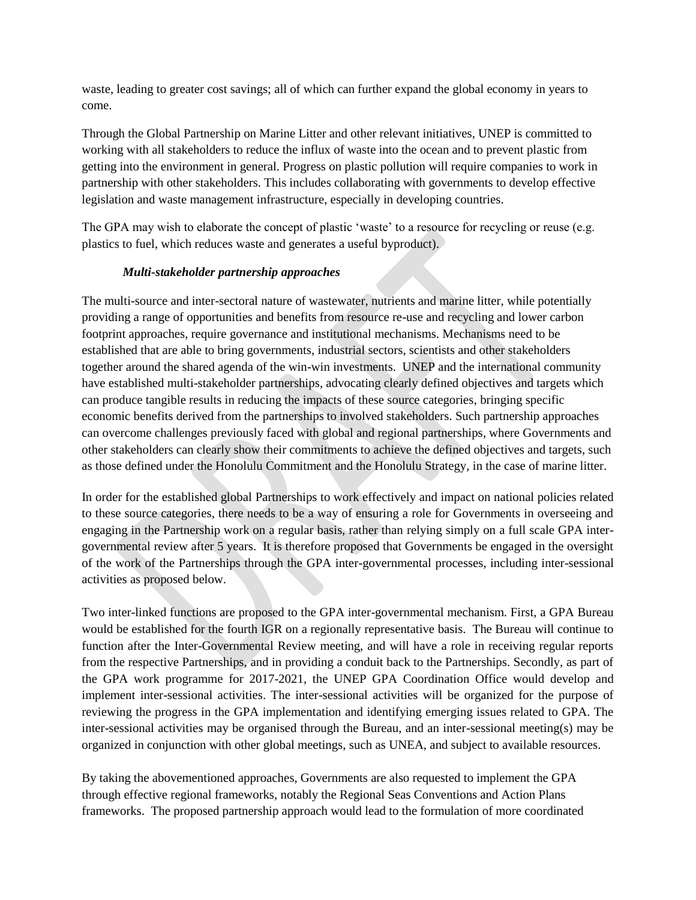waste, leading to greater cost savings; all of which can further expand the global economy in years to come.

Through the Global Partnership on Marine Litter and other relevant initiatives, UNEP is committed to working with all stakeholders to reduce the influx of waste into the ocean and to prevent plastic from getting into the environment in general. Progress on plastic pollution will require companies to work in partnership with other stakeholders. This includes collaborating with governments to develop effective legislation and waste management infrastructure, especially in developing countries.

The GPA may wish to elaborate the concept of plastic 'waste' to a resource for recycling or reuse (e.g. plastics to fuel, which reduces waste and generates a useful byproduct).

# *Multi-stakeholder partnership approaches*

The multi-source and inter-sectoral nature of wastewater, nutrients and marine litter, while potentially providing a range of opportunities and benefits from resource re-use and recycling and lower carbon footprint approaches, require governance and institutional mechanisms. Mechanisms need to be established that are able to bring governments, industrial sectors, scientists and other stakeholders together around the shared agenda of the win-win investments. UNEP and the international community have established multi-stakeholder partnerships, advocating clearly defined objectives and targets which can produce tangible results in reducing the impacts of these source categories, bringing specific economic benefits derived from the partnerships to involved stakeholders. Such partnership approaches can overcome challenges previously faced with global and regional partnerships, where Governments and other stakeholders can clearly show their commitments to achieve the defined objectives and targets, such as those defined under the Honolulu Commitment and the Honolulu Strategy, in the case of marine litter.

In order for the established global Partnerships to work effectively and impact on national policies related to these source categories, there needs to be a way of ensuring a role for Governments in overseeing and engaging in the Partnership work on a regular basis, rather than relying simply on a full scale GPA intergovernmental review after 5 years. It is therefore proposed that Governments be engaged in the oversight of the work of the Partnerships through the GPA inter-governmental processes, including inter-sessional activities as proposed below.

Two inter-linked functions are proposed to the GPA inter-governmental mechanism. First, a GPA Bureau would be established for the fourth IGR on a regionally representative basis. The Bureau will continue to function after the Inter-Governmental Review meeting, and will have a role in receiving regular reports from the respective Partnerships, and in providing a conduit back to the Partnerships. Secondly, as part of the GPA work programme for 2017-2021, the UNEP GPA Coordination Office would develop and implement inter-sessional activities. The inter-sessional activities will be organized for the purpose of reviewing the progress in the GPA implementation and identifying emerging issues related to GPA. The inter-sessional activities may be organised through the Bureau, and an inter-sessional meeting(s) may be organized in conjunction with other global meetings, such as UNEA, and subject to available resources.

By taking the abovementioned approaches, Governments are also requested to implement the GPA through effective regional frameworks, notably the Regional Seas Conventions and Action Plans frameworks. The proposed partnership approach would lead to the formulation of more coordinated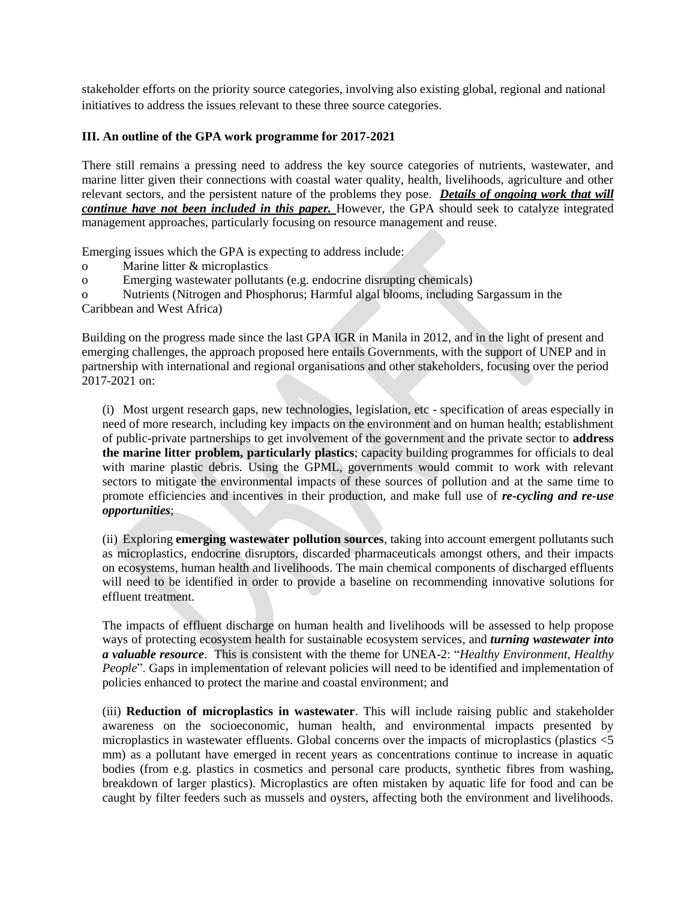stakeholder efforts on the priority source categories, involving also existing global, regional and national initiatives to address the issues relevant to these three source categories.

#### **III. An outline of the GPA work programme for 2017-2021**

There still remains a pressing need to address the key source categories of nutrients, wastewater, and marine litter given their connections with coastal water quality, health, livelihoods, agriculture and other relevant sectors, and the persistent nature of the problems they pose. *Details of ongoing work that will continue have not been included in this paper.* However, the GPA should seek to catalyze integrated management approaches, particularly focusing on resource management and reuse.

Emerging issues which the GPA is expecting to address include:

- o Marine litter & microplastics
- o Emerging wastewater pollutants (e.g. endocrine disrupting chemicals)
- o Nutrients (Nitrogen and Phosphorus; Harmful algal blooms, including Sargassum in the

Caribbean and West Africa)

Building on the progress made since the last GPA IGR in Manila in 2012, and in the light of present and emerging challenges, the approach proposed here entails Governments, with the support of UNEP and in partnership with international and regional organisations and other stakeholders, focusing over the period 2017-2021 on:

(i) Most urgent research gaps, new technologies, legislation, etc - specification of areas especially in need of more research, including key impacts on the environment and on human health; establishment of public-private partnerships to get involvement of the government and the private sector to **address the marine litter problem, particularly plastics**; capacity building programmes for officials to deal with marine plastic debris. Using the GPML, governments would commit to work with relevant sectors to mitigate the environmental impacts of these sources of pollution and at the same time to promote efficiencies and incentives in their production, and make full use of *re-cycling and re-use opportunities*;

(ii) Exploring **emerging wastewater pollution sources**, taking into account emergent pollutants such as microplastics, endocrine disruptors, discarded pharmaceuticals amongst others, and their impacts on ecosystems, human health and livelihoods. The main chemical components of discharged effluents will need to be identified in order to provide a baseline on recommending innovative solutions for effluent treatment.

The impacts of effluent discharge on human health and livelihoods will be assessed to help propose ways of protecting ecosystem health for sustainable ecosystem services, and *turning wastewater into a valuable resource*. This is consistent with the theme for UNEA-2: "*Healthy Environment, Healthy People*". Gaps in implementation of relevant policies will need to be identified and implementation of policies enhanced to protect the marine and coastal environment; and

(iii) **Reduction of microplastics in wastewater**. This will include raising public and stakeholder awareness on the socioeconomic, human health, and environmental impacts presented by microplastics in wastewater effluents. Global concerns over the impacts of microplastics (plastics <5 mm) as a pollutant have emerged in recent years as concentrations continue to increase in aquatic bodies (from e.g. plastics in cosmetics and personal care products, synthetic fibres from washing, breakdown of larger plastics). Microplastics are often mistaken by aquatic life for food and can be caught by filter feeders such as mussels and oysters, affecting both the environment and livelihoods.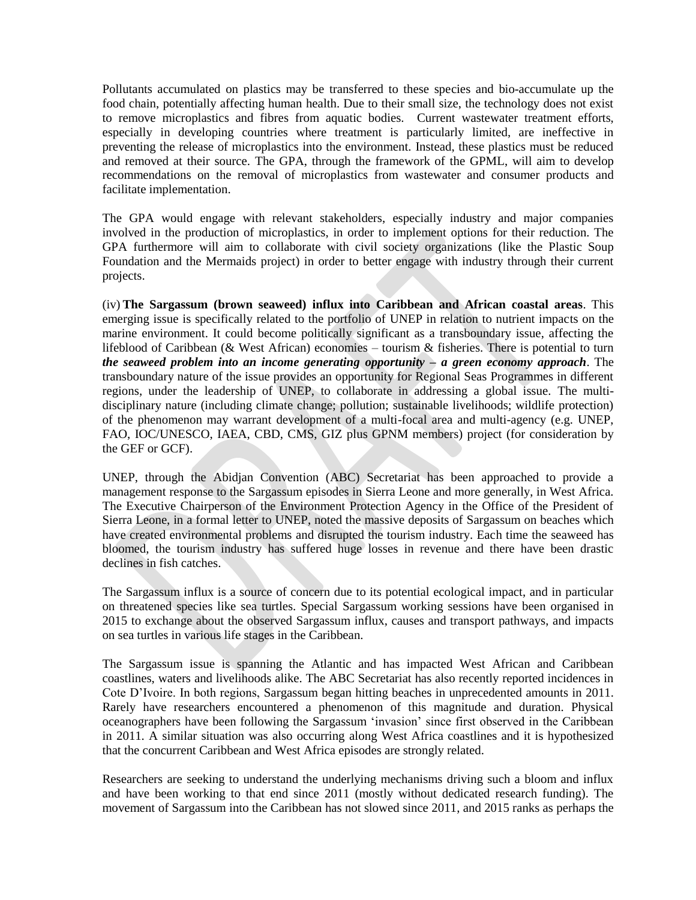Pollutants accumulated on plastics may be transferred to these species and bio-accumulate up the food chain, potentially affecting human health. Due to their small size, the technology does not exist to remove microplastics and fibres from aquatic bodies. Current wastewater treatment efforts, especially in developing countries where treatment is particularly limited, are ineffective in preventing the release of microplastics into the environment. Instead, these plastics must be reduced and removed at their source. The GPA, through the framework of the GPML, will aim to develop recommendations on the removal of microplastics from wastewater and consumer products and facilitate implementation.

The GPA would engage with relevant stakeholders, especially industry and major companies involved in the production of microplastics, in order to implement options for their reduction. The GPA furthermore will aim to collaborate with civil society organizations (like the Plastic Soup Foundation and the Mermaids project) in order to better engage with industry through their current projects.

(iv) **The Sargassum (brown seaweed) influx into Caribbean and African coastal areas**. This emerging issue is specifically related to the portfolio of UNEP in relation to nutrient impacts on the marine environment. It could become politically significant as a transboundary issue, affecting the lifeblood of Caribbean (& West African) economies – tourism & fisheries. There is potential to turn *the seaweed problem into an income generating opportunity – a green economy approach*. The transboundary nature of the issue provides an opportunity for Regional Seas Programmes in different regions, under the leadership of UNEP, to collaborate in addressing a global issue. The multidisciplinary nature (including climate change; pollution; sustainable livelihoods; wildlife protection) of the phenomenon may warrant development of a multi-focal area and multi-agency (e.g. UNEP, FAO, IOC/UNESCO, IAEA, CBD, CMS, GIZ plus GPNM members) project (for consideration by the GEF or GCF).

UNEP, through the Abidjan Convention (ABC) Secretariat has been approached to provide a management response to the Sargassum episodes in Sierra Leone and more generally, in West Africa. The Executive Chairperson of the Environment Protection Agency in the Office of the President of Sierra Leone, in a formal letter to UNEP, noted the massive deposits of Sargassum on beaches which have created environmental problems and disrupted the tourism industry. Each time the seaweed has bloomed, the tourism industry has suffered huge losses in revenue and there have been drastic declines in fish catches.

The Sargassum influx is a source of concern due to its potential ecological impact, and in particular on threatened species like sea turtles. Special Sargassum working sessions have been organised in 2015 to exchange about the observed Sargassum influx, causes and transport pathways, and impacts on sea turtles in various life stages in the Caribbean.

The Sargassum issue is spanning the Atlantic and has impacted West African and Caribbean coastlines, waters and livelihoods alike. The ABC Secretariat has also recently reported incidences in Cote D'Ivoire. In both regions, Sargassum began hitting beaches in unprecedented amounts in 2011. Rarely have researchers encountered a phenomenon of this magnitude and duration. Physical oceanographers have been following the Sargassum 'invasion' since first observed in the Caribbean in 2011. A similar situation was also occurring along West Africa coastlines and it is hypothesized that the concurrent Caribbean and West Africa episodes are strongly related.

Researchers are seeking to understand the underlying mechanisms driving such a bloom and influx and have been working to that end since 2011 (mostly without dedicated research funding). The movement of Sargassum into the Caribbean has not slowed since 2011, and 2015 ranks as perhaps the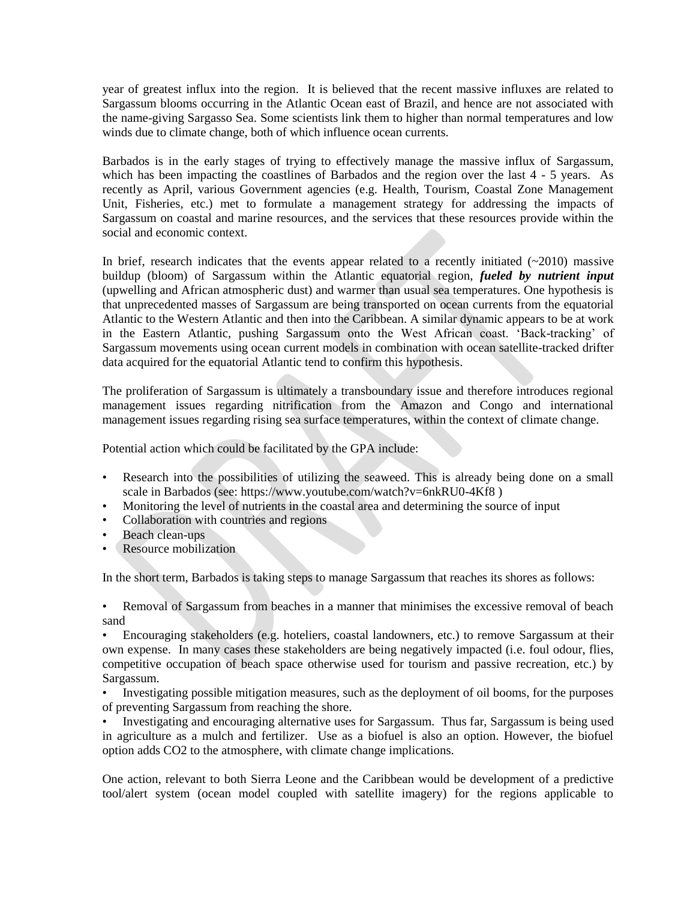year of greatest influx into the region. It is believed that the recent massive influxes are related to Sargassum blooms occurring in the Atlantic Ocean east of Brazil, and hence are not associated with the name-giving Sargasso Sea. Some scientists link them to higher than normal temperatures and low winds due to climate change, both of which influence ocean currents.

Barbados is in the early stages of trying to effectively manage the massive influx of Sargassum, which has been impacting the coastlines of Barbados and the region over the last 4 - 5 years. As recently as April, various Government agencies (e.g. Health, Tourism, Coastal Zone Management Unit, Fisheries, etc.) met to formulate a management strategy for addressing the impacts of Sargassum on coastal and marine resources, and the services that these resources provide within the social and economic context.

In brief, research indicates that the events appear related to a recently initiated  $(-2010)$  massive buildup (bloom) of Sargassum within the Atlantic equatorial region, *fueled by nutrient input* (upwelling and African atmospheric dust) and warmer than usual sea temperatures. One hypothesis is that unprecedented masses of Sargassum are being transported on ocean currents from the equatorial Atlantic to the Western Atlantic and then into the Caribbean. A similar dynamic appears to be at work in the Eastern Atlantic, pushing Sargassum onto the West African coast. 'Back-tracking' of Sargassum movements using ocean current models in combination with ocean satellite-tracked drifter data acquired for the equatorial Atlantic tend to confirm this hypothesis.

The proliferation of Sargassum is ultimately a transboundary issue and therefore introduces regional management issues regarding nitrification from the Amazon and Congo and international management issues regarding rising sea surface temperatures, within the context of climate change.

Potential action which could be facilitated by the GPA include:

- Research into the possibilities of utilizing the seaweed. This is already being done on a small scale in Barbados (see: https://www.youtube.com/watch?v=6nkRU0-4Kf8 )
- Monitoring the level of nutrients in the coastal area and determining the source of input
- Collaboration with countries and regions
- Beach clean-ups
- Resource mobilization

In the short term, Barbados is taking steps to manage Sargassum that reaches its shores as follows:

• Removal of Sargassum from beaches in a manner that minimises the excessive removal of beach sand

• Encouraging stakeholders (e.g. hoteliers, coastal landowners, etc.) to remove Sargassum at their own expense. In many cases these stakeholders are being negatively impacted (i.e. foul odour, flies, competitive occupation of beach space otherwise used for tourism and passive recreation, etc.) by Sargassum.

• Investigating possible mitigation measures, such as the deployment of oil booms, for the purposes of preventing Sargassum from reaching the shore.

• Investigating and encouraging alternative uses for Sargassum. Thus far, Sargassum is being used in agriculture as a mulch and fertilizer. Use as a biofuel is also an option. However, the biofuel option adds CO2 to the atmosphere, with climate change implications.

One action, relevant to both Sierra Leone and the Caribbean would be development of a predictive tool/alert system (ocean model coupled with satellite imagery) for the regions applicable to